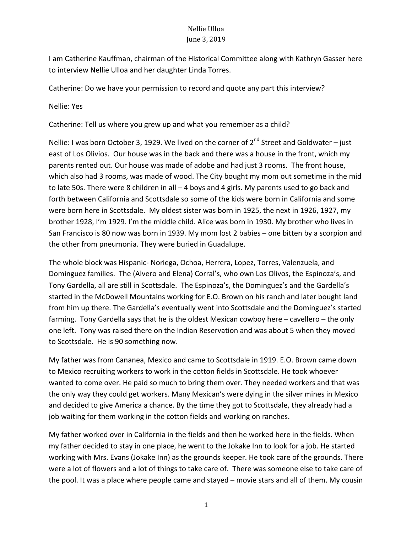I am Catherine Kauffman, chairman of the Historical Committee along with Kathryn Gasser here to interview Nellie Ulloa and her daughter Linda Torres.

Catherine: Do we have your permission to record and quote any part this interview?

Nellie: Yes

Catherine: Tell us where you grew up and what you remember as a child?

Nellie: I was born October 3, 1929. We lived on the corner of  $2^{nd}$  Street and Goldwater – just east of Los Olivios. Our house was in the back and there was a house in the front, which my parents rented out. Our house was made of adobe and had just 3 rooms. The front house, which also had 3 rooms, was made of wood. The City bought my mom out sometime in the mid to late 50s. There were 8 children in all  $-$  4 boys and 4 girls. My parents used to go back and forth between California and Scottsdale so some of the kids were born in California and some were born here in Scottsdale. My oldest sister was born in 1925, the next in 1926, 1927, my brother 1928, I'm 1929. I'm the middle child. Alice was born in 1930. My brother who lives in San Francisco is 80 now was born in 1939. My mom lost 2 babies – one bitten by a scorpion and the other from pneumonia. They were buried in Guadalupe.

The whole block was Hispanic- Noriega, Ochoa, Herrera, Lopez, Torres, Valenzuela, and Dominguez families. The (Alvero and Elena) Corral's, who own Los Olivos, the Espinoza's, and Tony Gardella, all are still in Scottsdale. The Espinoza's, the Dominguez's and the Gardella's started in the McDowell Mountains working for E.O. Brown on his ranch and later bought land from him up there. The Gardella's eventually went into Scottsdale and the Dominguez's started farming. Tony Gardella says that he is the oldest Mexican cowboy here  $-$  cavellero  $-$  the only one left. Tony was raised there on the Indian Reservation and was about 5 when they moved to Scottsdale. He is 90 something now.

My father was from Cananea, Mexico and came to Scottsdale in 1919. E.O. Brown came down to Mexico recruiting workers to work in the cotton fields in Scottsdale. He took whoever wanted to come over. He paid so much to bring them over. They needed workers and that was the only way they could get workers. Many Mexican's were dying in the silver mines in Mexico and decided to give America a chance. By the time they got to Scottsdale, they already had a job waiting for them working in the cotton fields and working on ranches.

My father worked over in California in the fields and then he worked here in the fields. When my father decided to stay in one place, he went to the Jokake Inn to look for a job. He started working with Mrs. Evans (Jokake Inn) as the grounds keeper. He took care of the grounds. There were a lot of flowers and a lot of things to take care of. There was someone else to take care of the pool. It was a place where people came and stayed  $-$  movie stars and all of them. My cousin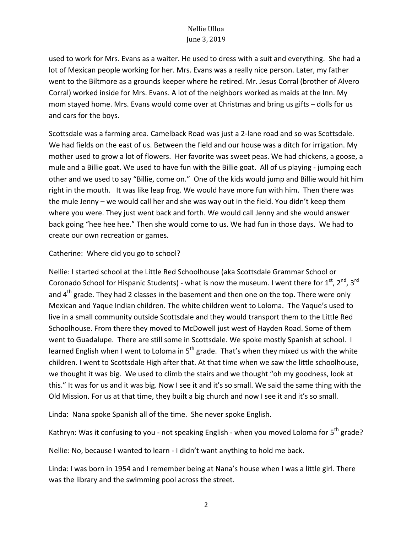used to work for Mrs. Evans as a waiter. He used to dress with a suit and everything. She had a lot of Mexican people working for her. Mrs. Evans was a really nice person. Later, my father went to the Biltmore as a grounds keeper where he retired. Mr. Jesus Corral (brother of Alvero Corral) worked inside for Mrs. Evans. A lot of the neighbors worked as maids at the Inn. My mom stayed home. Mrs. Evans would come over at Christmas and bring us gifts – dolls for us and cars for the boys.

Scottsdale was a farming area. Camelback Road was just a 2-lane road and so was Scottsdale. We had fields on the east of us. Between the field and our house was a ditch for irrigation. My mother used to grow a lot of flowers. Her favorite was sweet peas. We had chickens, a goose, a mule and a Billie goat. We used to have fun with the Billie goat. All of us playing - jumping each other and we used to say "Billie, come on." One of the kids would jump and Billie would hit him right in the mouth. It was like leap frog. We would have more fun with him. Then there was the mule Jenny – we would call her and she was way out in the field. You didn't keep them where you were. They just went back and forth. We would call Jenny and she would answer back going "hee hee hee." Then she would come to us. We had fun in those days. We had to create our own recreation or games.

#### Catherine: Where did you go to school?

Nellie: I started school at the Little Red Schoolhouse (aka Scottsdale Grammar School or Coronado School for Hispanic Students) - what is now the museum. I went there for  $1^{st}$ ,  $2^{nd}$ ,  $3^{rd}$ and  $4<sup>th</sup>$  grade. They had 2 classes in the basement and then one on the top. There were only Mexican and Yaque Indian children. The white children went to Loloma. The Yaque's used to live in a small community outside Scottsdale and they would transport them to the Little Red Schoolhouse. From there they moved to McDowell just west of Hayden Road. Some of them went to Guadalupe. There are still some in Scottsdale. We spoke mostly Spanish at school. I learned English when I went to Loloma in  $5<sup>th</sup>$  grade. That's when they mixed us with the white children. I went to Scottsdale High after that. At that time when we saw the little schoolhouse, we thought it was big. We used to climb the stairs and we thought "oh my goodness, look at this." It was for us and it was big. Now I see it and it's so small. We said the same thing with the Old Mission. For us at that time, they built a big church and now I see it and it's so small.

Linda: Nana spoke Spanish all of the time. She never spoke English.

Kathryn: Was it confusing to you - not speaking English - when you moved Loloma for  $5<sup>th</sup>$  grade?

Nellie: No, because I wanted to learn - I didn't want anything to hold me back.

Linda: I was born in 1954 and I remember being at Nana's house when I was a little girl. There was the library and the swimming pool across the street.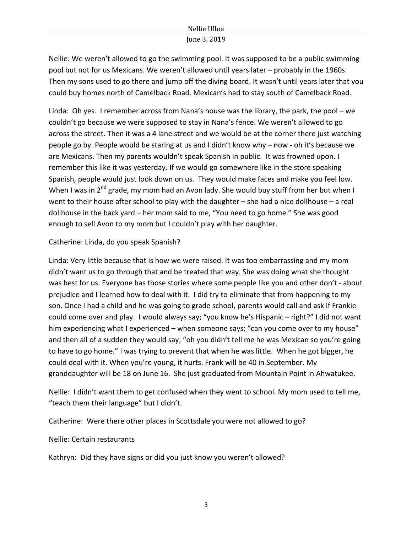Nellie: We weren't allowed to go the swimming pool. It was supposed to be a public swimming pool but not for us Mexicans. We weren't allowed until years later – probably in the 1960s. Then my sons used to go there and jump off the diving board. It wasn't until years later that you could buy homes north of Camelback Road. Mexican's had to stay south of Camelback Road.

Linda: Oh yes. I remember across from Nana's house was the library, the park, the pool – we couldn't go because we were supposed to stay in Nana's fence. We weren't allowed to go across the street. Then it was a 4 lane street and we would be at the corner there just watching people go by. People would be staring at us and I didn't know why – now - oh it's because we are Mexicans. Then my parents wouldn't speak Spanish in public. It was frowned upon. I remember this like it was yesterday. If we would go somewhere like in the store speaking Spanish, people would just look down on us. They would make faces and make you feel low. When I was in  $2^{nd}$  grade, my mom had an Avon lady. She would buy stuff from her but when I went to their house after school to play with the daughter  $-$  she had a nice dollhouse  $-$  a real dollhouse in the back yard – her mom said to me, "You need to go home." She was good enough to sell Avon to my mom but I couldn't play with her daughter.

# Catherine: Linda, do you speak Spanish?

Linda: Very little because that is how we were raised. It was too embarrassing and my mom didn't want us to go through that and be treated that way. She was doing what she thought was best for us. Everyone has those stories where some people like you and other don't - about prejudice and I learned how to deal with it. I did try to eliminate that from happening to my son. Once I had a child and he was going to grade school, parents would call and ask if Frankie could come over and play. I would always say; "you know he's Hispanic – right?" I did not want him experiencing what I experienced – when someone says; "can you come over to my house" and then all of a sudden they would say; "oh you didn't tell me he was Mexican so you're going to have to go home." I was trying to prevent that when he was little. When he got bigger, he could deal with it. When you're young, it hurts. Frank will be 40 in September. My granddaughter will be 18 on June 16. She just graduated from Mountain Point in Ahwatukee.

Nellie: I didn't want them to get confused when they went to school. My mom used to tell me, "teach them their language" but I didn't.

Catherine: Were there other places in Scottsdale you were not allowed to go?

Nellie: Certain restaurants

Kathryn: Did they have signs or did you just know you weren't allowed?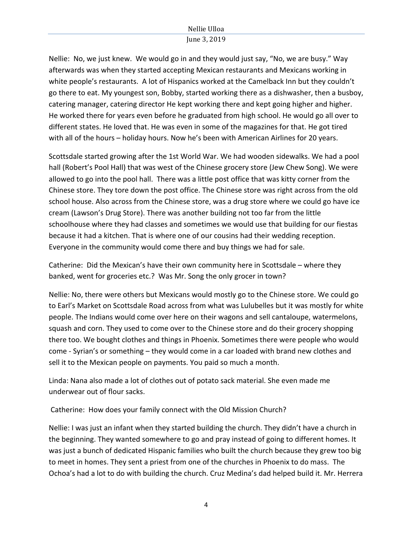Nellie: No, we just knew. We would go in and they would just say, "No, we are busy." Way afterwards was when they started accepting Mexican restaurants and Mexicans working in white people's restaurants. A lot of Hispanics worked at the Camelback Inn but they couldn't go there to eat. My youngest son, Bobby, started working there as a dishwasher, then a busboy, catering manager, catering director He kept working there and kept going higher and higher. He worked there for years even before he graduated from high school. He would go all over to different states. He loved that. He was even in some of the magazines for that. He got tired with all of the hours – holiday hours. Now he's been with American Airlines for 20 years.

Scottsdale started growing after the 1st World War. We had wooden sidewalks. We had a pool hall (Robert's Pool Hall) that was west of the Chinese grocery store (Jew Chew Song). We were allowed to go into the pool hall. There was a little post office that was kitty corner from the Chinese store. They tore down the post office. The Chinese store was right across from the old school house. Also across from the Chinese store, was a drug store where we could go have ice cream (Lawson's Drug Store). There was another building not too far from the little schoolhouse where they had classes and sometimes we would use that building for our fiestas because it had a kitchen. That is where one of our cousins had their wedding reception. Everyone in the community would come there and buy things we had for sale.

Catherine: Did the Mexican's have their own community here in Scottsdale – where they banked, went for groceries etc.? Was Mr. Song the only grocer in town?

Nellie: No, there were others but Mexicans would mostly go to the Chinese store. We could go to Earl's Market on Scottsdale Road across from what was Lulubelles but it was mostly for white people. The Indians would come over here on their wagons and sell cantaloupe, watermelons, squash and corn. They used to come over to the Chinese store and do their grocery shopping there too. We bought clothes and things in Phoenix. Sometimes there were people who would come - Syrian's or something – they would come in a car loaded with brand new clothes and sell it to the Mexican people on payments. You paid so much a month.

Linda: Nana also made a lot of clothes out of potato sack material. She even made me underwear out of flour sacks.

Catherine: How does your family connect with the Old Mission Church?

Nellie: I was just an infant when they started building the church. They didn't have a church in the beginning. They wanted somewhere to go and pray instead of going to different homes. It was just a bunch of dedicated Hispanic families who built the church because they grew too big to meet in homes. They sent a priest from one of the churches in Phoenix to do mass. The Ochoa's had a lot to do with building the church. Cruz Medina's dad helped build it. Mr. Herrera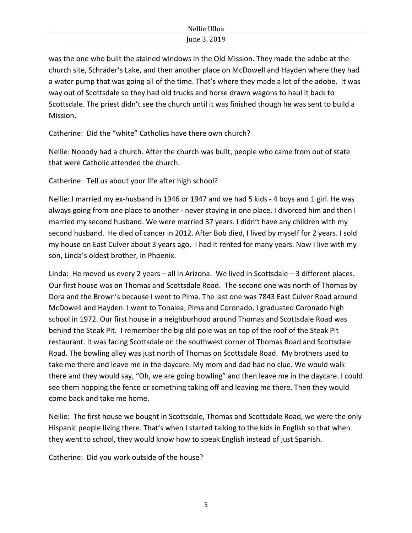was the one who built the stained windows in the Old Mission. They made the adobe at the church site, Schrader's Lake, and then another place on McDowell and Hayden where they had a water pump that was going all of the time. That's where they made a lot of the adobe. It was way out of Scottsdale so they had old trucks and horse drawn wagons to haul it back to Scottsdale. The priest didn't see the church until it was finished though he was sent to build a Mission. 

Catherine: Did the "white" Catholics have there own church?

Nellie: Nobody had a church. After the church was built, people who came from out of state that were Catholic attended the church.

Catherine: Tell us about your life after high school?

Nellie: I married my ex-husband in 1946 or 1947 and we had 5 kids - 4 boys and 1 girl. He was always going from one place to another - never staying in one place. I divorced him and then I married my second husband. We were married 37 years. I didn't have any children with my second husband. He died of cancer in 2012. After Bob died, I lived by myself for 2 years. I sold my house on East Culver about 3 years ago. I had it rented for many years. Now I live with my son, Linda's oldest brother, in Phoenix.

Linda: He moved us every 2 years – all in Arizona. We lived in Scottsdale – 3 different places. Our first house was on Thomas and Scottsdale Road. The second one was north of Thomas by Dora and the Brown's because I went to Pima. The last one was 7843 East Culver Road around McDowell and Hayden. I went to Tonalea, Pima and Coronado. I graduated Coronado high school in 1972. Our first house in a neighborhood around Thomas and Scottsdale Road was behind the Steak Pit. I remember the big old pole was on top of the roof of the Steak Pit restaurant. It was facing Scottsdale on the southwest corner of Thomas Road and Scottsdale Road. The bowling alley was just north of Thomas on Scottsdale Road. My brothers used to take me there and leave me in the daycare. My mom and dad had no clue. We would walk there and they would say, "Oh, we are going bowling" and then leave me in the daycare. I could see them hopping the fence or something taking off and leaving me there. Then they would come back and take me home.

Nellie: The first house we bought in Scottsdale, Thomas and Scottsdale Road, we were the only Hispanic people living there. That's when I started talking to the kids in English so that when they went to school, they would know how to speak English instead of just Spanish.

Catherine: Did you work outside of the house?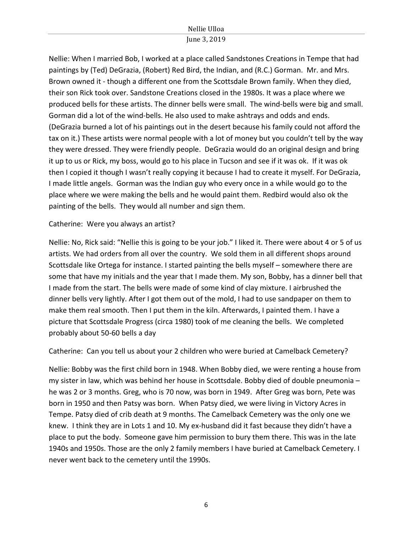Nellie: When I married Bob, I worked at a place called Sandstones Creations in Tempe that had paintings by (Ted) DeGrazia, (Robert) Red Bird, the Indian, and (R.C.) Gorman. Mr. and Mrs. Brown owned it - though a different one from the Scottsdale Brown family. When they died, their son Rick took over. Sandstone Creations closed in the 1980s. It was a place where we produced bells for these artists. The dinner bells were small. The wind-bells were big and small. Gorman did a lot of the wind-bells. He also used to make ashtrays and odds and ends. (DeGrazia burned a lot of his paintings out in the desert because his family could not afford the tax on it.) These artists were normal people with a lot of money but you couldn't tell by the way they were dressed. They were friendly people. DeGrazia would do an original design and bring it up to us or Rick, my boss, would go to his place in Tucson and see if it was ok. If it was ok then I copied it though I wasn't really copying it because I had to create it myself. For DeGrazia, I made little angels. Gorman was the Indian guy who every once in a while would go to the place where we were making the bells and he would paint them. Redbird would also ok the painting of the bells. They would all number and sign them.

#### Catherine: Were you always an artist?

Nellie: No, Rick said: "Nellie this is going to be your job." I liked it. There were about 4 or 5 of us artists. We had orders from all over the country. We sold them in all different shops around Scottsdale like Ortega for instance. I started painting the bells myself – somewhere there are some that have my initials and the year that I made them. My son, Bobby, has a dinner bell that I made from the start. The bells were made of some kind of clay mixture. I airbrushed the dinner bells very lightly. After I got them out of the mold, I had to use sandpaper on them to make them real smooth. Then I put them in the kiln. Afterwards, I painted them. I have a picture that Scottsdale Progress (circa 1980) took of me cleaning the bells. We completed probably about 50-60 bells a day

Catherine: Can you tell us about your 2 children who were buried at Camelback Cemetery?

Nellie: Bobby was the first child born in 1948. When Bobby died, we were renting a house from my sister in law, which was behind her house in Scottsdale. Bobby died of double pneumonia – he was 2 or 3 months. Greg, who is 70 now, was born in 1949. After Greg was born, Pete was born in 1950 and then Patsy was born. When Patsy died, we were living in Victory Acres in Tempe. Patsy died of crib death at 9 months. The Camelback Cemetery was the only one we knew. I think they are in Lots 1 and 10. My ex-husband did it fast because they didn't have a place to put the body. Someone gave him permission to bury them there. This was in the late 1940s and 1950s. Those are the only 2 family members I have buried at Camelback Cemetery. I never went back to the cemetery until the 1990s.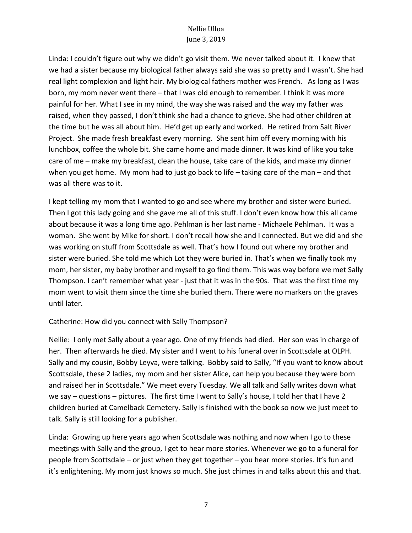# Nellie Ulloa

# June 3, 2019

Linda: I couldn't figure out why we didn't go visit them. We never talked about it. I knew that we had a sister because my biological father always said she was so pretty and I wasn't. She had real light complexion and light hair. My biological fathers mother was French. As long as I was born, my mom never went there – that I was old enough to remember. I think it was more painful for her. What I see in my mind, the way she was raised and the way my father was raised, when they passed, I don't think she had a chance to grieve. She had other children at the time but he was all about him. He'd get up early and worked. He retired from Salt River Project. She made fresh breakfast every morning. She sent him off every morning with his lunchbox, coffee the whole bit. She came home and made dinner. It was kind of like you take care of me – make my breakfast, clean the house, take care of the kids, and make my dinner when you get home. My mom had to just go back to life – taking care of the man – and that was all there was to it.

I kept telling my mom that I wanted to go and see where my brother and sister were buried. Then I got this lady going and she gave me all of this stuff. I don't even know how this all came about because it was a long time ago. Pehlman is her last name - Michaele Pehlman. It was a woman. She went by Mike for short. I don't recall how she and I connected. But we did and she was working on stuff from Scottsdale as well. That's how I found out where my brother and sister were buried. She told me which Lot they were buried in. That's when we finally took my mom, her sister, my baby brother and myself to go find them. This was way before we met Sally Thompson. I can't remember what year - just that it was in the 90s. That was the first time my mom went to visit them since the time she buried them. There were no markers on the graves until later.

# Catherine: How did you connect with Sally Thompson?

Nellie: I only met Sally about a year ago. One of my friends had died. Her son was in charge of her. Then afterwards he died. My sister and I went to his funeral over in Scottsdale at OLPH. Sally and my cousin, Bobby Leyva, were talking. Bobby said to Sally, "If you want to know about Scottsdale, these 2 ladies, my mom and her sister Alice, can help you because they were born and raised her in Scottsdale." We meet every Tuesday. We all talk and Sally writes down what we say – questions – pictures. The first time I went to Sally's house, I told her that I have 2 children buried at Camelback Cemetery. Sally is finished with the book so now we just meet to talk. Sally is still looking for a publisher.

Linda: Growing up here years ago when Scottsdale was nothing and now when I go to these meetings with Sally and the group, I get to hear more stories. Whenever we go to a funeral for people from Scottsdale – or just when they get together – you hear more stories. It's fun and it's enlightening. My mom just knows so much. She just chimes in and talks about this and that.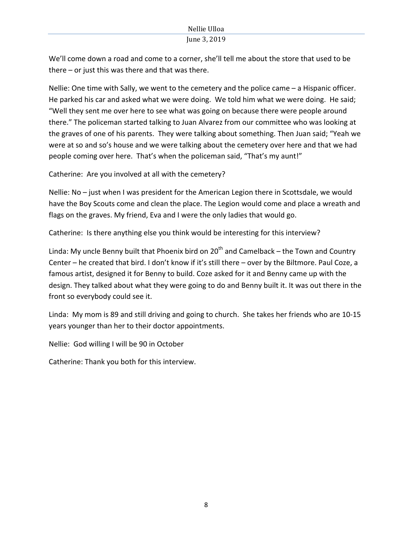We'll come down a road and come to a corner, she'll tell me about the store that used to be there  $-$  or just this was there and that was there.

Nellie: One time with Sally, we went to the cemetery and the police came  $-$  a Hispanic officer. He parked his car and asked what we were doing. We told him what we were doing. He said; "Well they sent me over here to see what was going on because there were people around there." The policeman started talking to Juan Alvarez from our committee who was looking at the graves of one of his parents. They were talking about something. Then Juan said; "Yeah we were at so and so's house and we were talking about the cemetery over here and that we had people coming over here. That's when the policeman said, "That's my aunt!"

Catherine: Are you involved at all with the cemetery?

Nellie: No  $-$  just when I was president for the American Legion there in Scottsdale, we would have the Boy Scouts come and clean the place. The Legion would come and place a wreath and flags on the graves. My friend, Eva and I were the only ladies that would go.

Catherine: Is there anything else you think would be interesting for this interview?

Linda: My uncle Benny built that Phoenix bird on  $20<sup>th</sup>$  and Camelback – the Town and Country Center – he created that bird. I don't know if it's still there – over by the Biltmore. Paul Coze, a famous artist, designed it for Benny to build. Coze asked for it and Benny came up with the design. They talked about what they were going to do and Benny built it. It was out there in the front so everybody could see it.

Linda: My mom is 89 and still driving and going to church. She takes her friends who are 10-15 years younger than her to their doctor appointments.

Nellie: God willing I will be 90 in October

Catherine: Thank you both for this interview.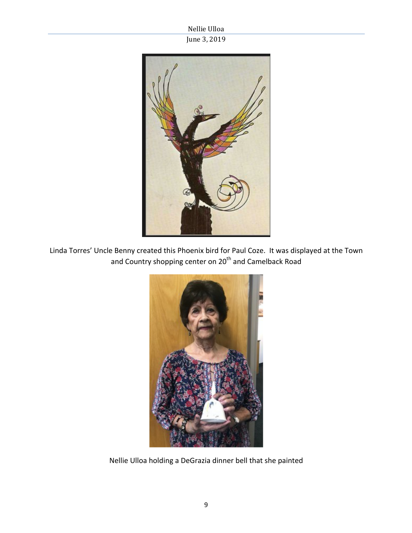

Linda Torres' Uncle Benny created this Phoenix bird for Paul Coze. It was displayed at the Town and Country shopping center on 20<sup>th</sup> and Camelback Road



Nellie Ulloa holding a DeGrazia dinner bell that she painted